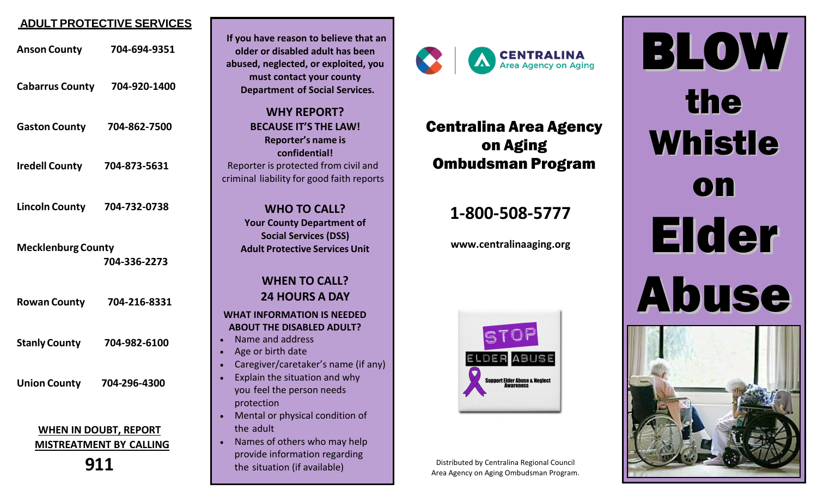#### **ADULT PROTECTIVE SERVICES**

| <b>Anson County</b>                                                   | 704-694-9351 |
|-----------------------------------------------------------------------|--------------|
| Cabarrus County 704-920-1400                                          |              |
| <b>Gaston County</b>                                                  | 704-862-7500 |
| <b>Iredell County</b>                                                 | 704-873-5631 |
| Lincoln County 704-732-0738                                           |              |
| <b>Mecklenburg County</b><br>704-336-2273                             |              |
| <b>Rowan County</b>                                                   | 704-216-8331 |
| <b>Stanly County</b>                                                  | 704-982-6100 |
| <b>Union County</b>                                                   | 704-296-4300 |
| <b>WHEN IN DOUBT, REPORT</b><br><b>MISTREATMENT BY CALLING</b><br>911 |              |



**If you have reason to believe that an older or disabled adult has been abused, neglected, or exploited, you**



### Centralina Area Agency on Aging Ombudsman Program

## **1-800-508-5777**

**www.centralinaaging.org**



Distributed by Centralina Regional Council Area Agency on Aging Ombudsman Program.

BLOW the Whistle on Elder Abuse